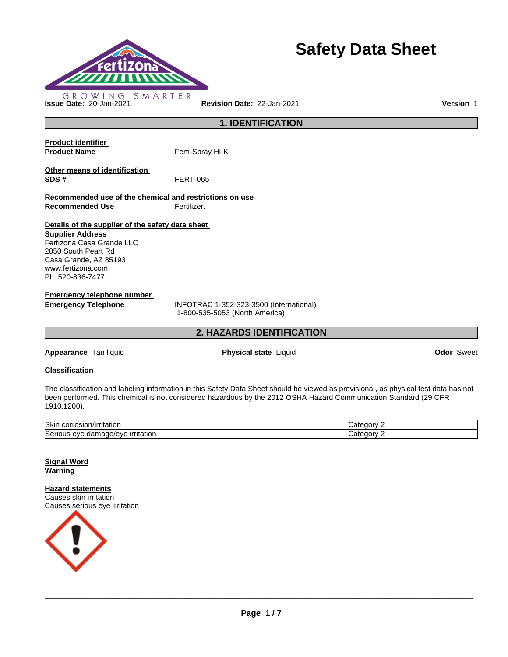

# **Safety Data Sheet**

**1. IDENTIFICATION** 

**Product identifier Product Name Ferti-Spray Hi-K Other means of identification SDS #** FERT-065 **Recommended use of the chemical and restrictions on use Recommended Use Fertilizer. Details of the supplier of the safety data sheet Supplier Address** Fertizona Casa Grande LLC 2850 South Peart Rd

Casa Grande, AZ 85193 www.fertizona.com Ph: 520-836-7477

**Emergency telephone number** 

**Emergency Telephone** INFOTRAC 1-352-323-3500 (International) 1-800-535-5053 (North America)

# **2. HAZARDS IDENTIFICATION**

**Appearance** Tan liquid **Physical state** Liquid **Odor** Sweet

# **Classification**

The classification and labeling information in this Safety Data Sheet should be viewed as provisional, as physical test data has not been performed. This chemical is not considered hazardous by the 2012 OSHA Hazard Communication Standard (29 CFR 1910.1200).

| Skin<br>$   -$<br>rritation.<br>JOLL,<br>- OSIONIALE             | œ<br>.                            |
|------------------------------------------------------------------|-----------------------------------|
| Seriou<br><i>irritation</i><br><br>eve<br>паг<br>1ade/eve<br>. . | œ<br>$\sim$ 200 $\sim$ 200 $\sim$ |

**Signal Word Warning** 

**Hazard statements** Causes skin irritation Causes serious eye irritation

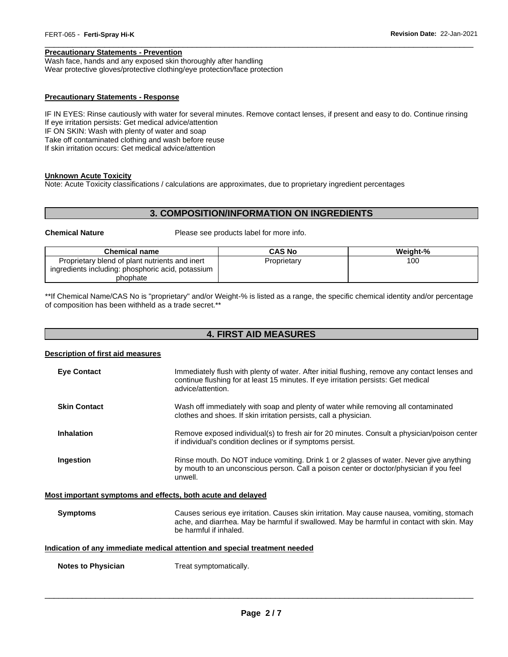# **Precautionary Statements - Prevention**

Wash face, hands and any exposed skin thoroughly after handling Wear protective gloves/protective clothing/eye protection/face protection

#### **Precautionary Statements - Response**

IF IN EYES: Rinse cautiously with water for several minutes. Remove contact lenses, if present and easy to do. Continue rinsing If eye irritation persists: Get medical advice/attention IF ON SKIN: Wash with plenty of water and soap Take off contaminated clothing and wash before reuse If skin irritation occurs: Get medical advice/attention

\_\_\_\_\_\_\_\_\_\_\_\_\_\_\_\_\_\_\_\_\_\_\_\_\_\_\_\_\_\_\_\_\_\_\_\_\_\_\_\_\_\_\_\_\_\_\_\_\_\_\_\_\_\_\_\_\_\_\_\_\_\_\_\_\_\_\_\_\_\_\_\_\_\_\_\_\_\_\_\_\_\_\_\_\_\_\_\_\_\_\_\_\_

#### **Unknown Acute Toxicity**

Note: Acute Toxicity classifications / calculations are approximates, due to proprietary ingredient percentages

# **3. COMPOSITION/INFORMATION ON INGREDIENTS**

**Chemical Nature** Please see products label for more info.

| <b>Chemical name</b>                                          | <b>CAS No</b> | Weight-% |
|---------------------------------------------------------------|---------------|----------|
| Proprietary blend of plant nutrients and inert                | Proprietary   | 100      |
| ingredients including: phosphoric acid, potassium<br>phophate |               |          |

\*\*If Chemical Name/CAS No is "proprietary" and/or Weight-% is listed as a range, the specific chemical identity and/or percentage of composition has been withheld as a trade secret.\*\*

# **4. FIRST AID MEASURES**

#### **Description of first aid measures**

| <b>Eve Contact</b>                                                         | Immediately flush with plenty of water. After initial flushing, remove any contact lenses and<br>continue flushing for at least 15 minutes. If eye irritation persists: Get medical<br>advice/attention.          |  |
|----------------------------------------------------------------------------|-------------------------------------------------------------------------------------------------------------------------------------------------------------------------------------------------------------------|--|
| <b>Skin Contact</b>                                                        | Wash off immediately with soap and plenty of water while removing all contaminated<br>clothes and shoes. If skin irritation persists, call a physician.                                                           |  |
| <b>Inhalation</b>                                                          | Remove exposed individual(s) to fresh air for 20 minutes. Consult a physician/poison center<br>if individual's condition declines or if symptoms persist.                                                         |  |
| Ingestion                                                                  | Rinse mouth. Do NOT induce vomiting. Drink 1 or 2 glasses of water. Never give anything<br>by mouth to an unconscious person. Call a poison center or doctor/physician if you feel<br>unwell.                     |  |
| Most important symptoms and effects, both acute and delayed                |                                                                                                                                                                                                                   |  |
| <b>Symptoms</b>                                                            | Causes serious eye irritation. Causes skin irritation. May cause nausea, vomiting, stomach<br>ache, and diarrhea. May be harmful if swallowed. May be harmful in contact with skin. May<br>be harmful if inhaled. |  |
| Indication of any immediate medical attention and special treatment needed |                                                                                                                                                                                                                   |  |
| <b>Notes to Physician</b>                                                  | Treat symptomatically.                                                                                                                                                                                            |  |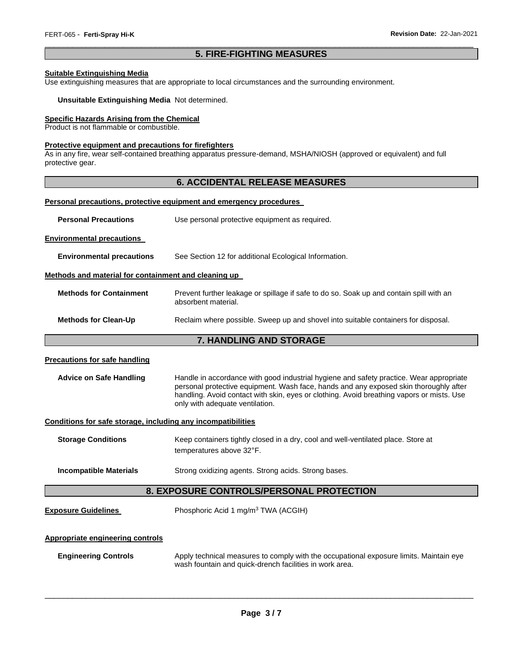# \_\_\_\_\_\_\_\_\_\_\_\_\_\_\_\_\_\_\_\_\_\_\_\_\_\_\_\_\_\_\_\_\_\_\_\_\_\_\_\_\_\_\_\_\_\_\_\_\_\_\_\_\_\_\_\_\_\_\_\_\_\_\_\_\_\_\_\_\_\_\_\_\_\_\_\_\_\_\_\_\_\_\_\_\_\_\_\_\_\_\_\_\_ **5. FIRE-FIGHTING MEASURES**

# **Suitable Extinguishing Media**

Use extinguishing measures that are appropriate to local circumstances and the surrounding environment.

#### **Unsuitable Extinguishing Media** Not determined.

# **Specific Hazards Arising from the Chemical**

Product is not flammable or combustible.

# **Protective equipment and precautions for firefighters**

As in any fire, wear self-contained breathing apparatus pressure-demand, MSHA/NIOSH (approved or equivalent) and full protective gear.

# **6. ACCIDENTAL RELEASE MEASURES**

#### **Personal precautions, protective equipment and emergency procedures**

| <b>Personal Precautions</b>                                  | Use personal protective equipment as required.                                                                                                                                                                                                                                                                   |  |  |
|--------------------------------------------------------------|------------------------------------------------------------------------------------------------------------------------------------------------------------------------------------------------------------------------------------------------------------------------------------------------------------------|--|--|
| <b>Environmental precautions</b>                             |                                                                                                                                                                                                                                                                                                                  |  |  |
| <b>Environmental precautions</b>                             | See Section 12 for additional Ecological Information.                                                                                                                                                                                                                                                            |  |  |
| Methods and material for containment and cleaning up         |                                                                                                                                                                                                                                                                                                                  |  |  |
| <b>Methods for Containment</b>                               | Prevent further leakage or spillage if safe to do so. Soak up and contain spill with an<br>absorbent material.                                                                                                                                                                                                   |  |  |
| <b>Methods for Clean-Up</b>                                  | Reclaim where possible. Sweep up and shovel into suitable containers for disposal.                                                                                                                                                                                                                               |  |  |
|                                                              | 7. HANDLING AND STORAGE                                                                                                                                                                                                                                                                                          |  |  |
| <b>Precautions for safe handling</b>                         |                                                                                                                                                                                                                                                                                                                  |  |  |
| <b>Advice on Safe Handling</b>                               | Handle in accordance with good industrial hygiene and safety practice. Wear appropriate<br>personal protective equipment. Wash face, hands and any exposed skin thoroughly after<br>handling. Avoid contact with skin, eyes or clothing. Avoid breathing vapors or mists. Use<br>only with adequate ventilation. |  |  |
| Conditions for safe storage, including any incompatibilities |                                                                                                                                                                                                                                                                                                                  |  |  |
| <b>Storage Conditions</b>                                    | Keep containers tightly closed in a dry, cool and well-ventilated place. Store at<br>temperatures above 32°F.                                                                                                                                                                                                    |  |  |
| <b>Incompatible Materials</b>                                | Strong oxidizing agents. Strong acids. Strong bases.                                                                                                                                                                                                                                                             |  |  |
| 8. EXPOSURE CONTROLS/PERSONAL PROTECTION                     |                                                                                                                                                                                                                                                                                                                  |  |  |
| <b>Exposure Guidelines</b>                                   | Phosphoric Acid 1 mg/m <sup>3</sup> TWA (ACGIH)                                                                                                                                                                                                                                                                  |  |  |
| <b>Appropriate engineering controls</b>                      |                                                                                                                                                                                                                                                                                                                  |  |  |
| <b>Engineering Controls</b>                                  | Apply technical measures to comply with the occupational exposure limits. Maintain eye<br>wash fountain and quick-drench facilities in work area.                                                                                                                                                                |  |  |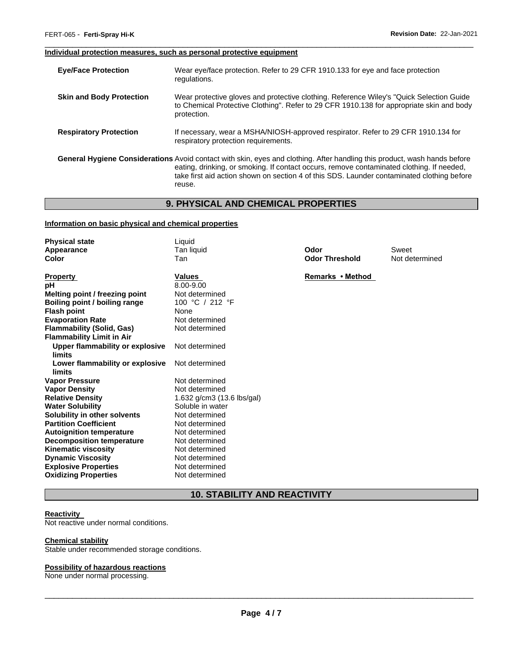#### \_\_\_\_\_\_\_\_\_\_\_\_\_\_\_\_\_\_\_\_\_\_\_\_\_\_\_\_\_\_\_\_\_\_\_\_\_\_\_\_\_\_\_\_\_\_\_\_\_\_\_\_\_\_\_\_\_\_\_\_\_\_\_\_\_\_\_\_\_\_\_\_\_\_\_\_\_\_\_\_\_\_\_\_\_\_\_\_\_\_\_\_\_ **Individual protection measures, such as personal protective equipment**

| <b>Eye/Face Protection</b>      | Wear eye/face protection. Refer to 29 CFR 1910.133 for eye and face protection<br>regulations.                                                                                                                                                                                                                                        |
|---------------------------------|---------------------------------------------------------------------------------------------------------------------------------------------------------------------------------------------------------------------------------------------------------------------------------------------------------------------------------------|
| <b>Skin and Body Protection</b> | Wear protective gloves and protective clothing. Reference Wiley's "Quick Selection Guide"<br>to Chemical Protective Clothing". Refer to 29 CFR 1910.138 for appropriate skin and body<br>protection.                                                                                                                                  |
| <b>Respiratory Protection</b>   | If necessary, wear a MSHA/NIOSH-approved respirator. Refer to 29 CFR 1910.134 for<br>respiratory protection requirements.                                                                                                                                                                                                             |
|                                 | <b>General Hygiene Considerations</b> Avoid contact with skin, eyes and clothing. After handling this product, wash hands before<br>eating, drinking, or smoking. If contact occurs, remove contaminated clothing. If needed,<br>take first aid action shown on section 4 of this SDS. Launder contaminated clothing before<br>reuse. |

# **9. PHYSICAL AND CHEMICAL PROPERTIES**

# **Information on basic physical and chemical properties**

| <b>Physical state</b>            | Liquid                       |                       |                |
|----------------------------------|------------------------------|-----------------------|----------------|
| Appearance                       | Tan liquid                   | Odor                  | Sweet          |
| Color                            | Tan                          | <b>Odor Threshold</b> | Not determined |
|                                  |                              |                       |                |
| <b>Property</b>                  | Values                       | Remarks • Method      |                |
| рH                               | 8.00-9.00                    |                       |                |
| Melting point / freezing point   | Not determined               |                       |                |
| Boiling point / boiling range    | 100 °C / 212 °F              |                       |                |
| <b>Flash point</b>               | None                         |                       |                |
| <b>Evaporation Rate</b>          | Not determined               |                       |                |
| <b>Flammability (Solid, Gas)</b> | Not determined               |                       |                |
| <b>Flammability Limit in Air</b> |                              |                       |                |
| Upper flammability or explosive  | Not determined               |                       |                |
| limits                           |                              |                       |                |
| Lower flammability or explosive  | Not determined               |                       |                |
| limits                           |                              |                       |                |
| <b>Vapor Pressure</b>            | Not determined               |                       |                |
| <b>Vapor Density</b>             | Not determined               |                       |                |
| <b>Relative Density</b>          | 1.632 $g/cm3$ (13.6 lbs/gal) |                       |                |
| <b>Water Solubility</b>          | Soluble in water             |                       |                |
| Solubility in other solvents     | Not determined               |                       |                |
| <b>Partition Coefficient</b>     | Not determined               |                       |                |
| <b>Autoignition temperature</b>  | Not determined               |                       |                |
| <b>Decomposition temperature</b> | Not determined               |                       |                |
| <b>Kinematic viscosity</b>       | Not determined               |                       |                |
| <b>Dynamic Viscosity</b>         | Not determined               |                       |                |
| <b>Explosive Properties</b>      | Not determined               |                       |                |
| <b>Oxidizing Properties</b>      | Not determined               |                       |                |

# **10. STABILITY AND REACTIVITY**

#### **Reactivity**

Not reactive under normal conditions.

#### **Chemical stability**

Stable under recommended storage conditions.

#### **Possibility of hazardous reactions**

None under normal processing.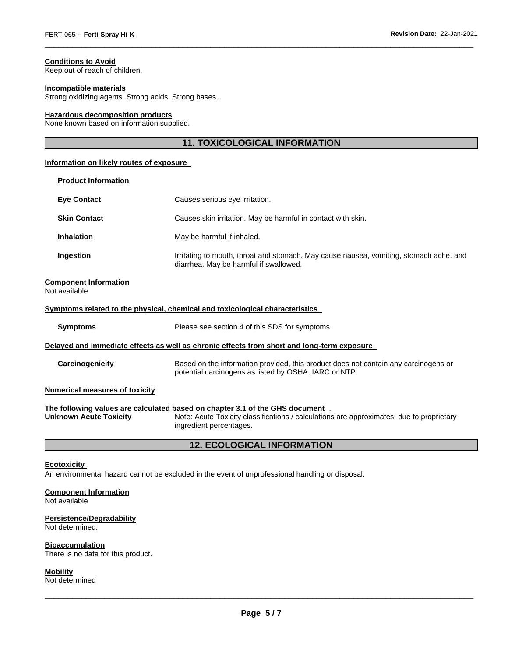# **Conditions to Avoid**

Keep out of reach of children.

# **Incompatible materials**

Strong oxidizing agents. Strong acids. Strong bases.

#### **Hazardous decomposition products**

None known based on information supplied.

# **11. TOXICOLOGICAL INFORMATION**

\_\_\_\_\_\_\_\_\_\_\_\_\_\_\_\_\_\_\_\_\_\_\_\_\_\_\_\_\_\_\_\_\_\_\_\_\_\_\_\_\_\_\_\_\_\_\_\_\_\_\_\_\_\_\_\_\_\_\_\_\_\_\_\_\_\_\_\_\_\_\_\_\_\_\_\_\_\_\_\_\_\_\_\_\_\_\_\_\_\_\_\_\_

#### **Information on likely routes of exposure**

| <b>Product Information</b> |                                                                                                                                  |
|----------------------------|----------------------------------------------------------------------------------------------------------------------------------|
| <b>Eye Contact</b>         | Causes serious eye irritation.                                                                                                   |
| <b>Skin Contact</b>        | Causes skin irritation. May be harmful in contact with skin.                                                                     |
| <b>Inhalation</b>          | May be harmful if inhaled.                                                                                                       |
| Ingestion                  | Irritating to mouth, throat and stomach. May cause nausea, vomiting, stomach ache, and<br>diarrhea. May be harmful if swallowed. |

# **Component Information**

| Not available                                                                |                                                                                                                                                                            |  |  |
|------------------------------------------------------------------------------|----------------------------------------------------------------------------------------------------------------------------------------------------------------------------|--|--|
| Symptoms related to the physical, chemical and toxicological characteristics |                                                                                                                                                                            |  |  |
| <b>Symptoms</b>                                                              | Please see section 4 of this SDS for symptoms.                                                                                                                             |  |  |
|                                                                              | Delayed and immediate effects as well as chronic effects from short and long-term exposure                                                                                 |  |  |
| Carcinogenicity                                                              | Based on the information provided, this product does not contain any carcinogens or<br>potential carcinogens as listed by OSHA, IARC or NTP.                               |  |  |
| <b>Numerical measures of toxicity</b>                                        |                                                                                                                                                                            |  |  |
| <b>Unknown Acute Toxicity</b>                                                | The following values are calculated based on chapter 3.1 of the GHS document .<br>Note: Acute Toxicity classifications / calculations are approximates, due to proprietary |  |  |

**Unknown Acute Toxicity** Note: Acute Toxicity classifications / calculations are approximates, due to proprietary ingredient percentages.

# **12. ECOLOGICAL INFORMATION**

# **Ecotoxicity**

An environmental hazard cannot be excluded in the event of unprofessional handling or disposal.

### **Component Information**

Not available

#### **Persistence/Degradability**

Not determined.

#### **Bioaccumulation**

There is no data for this product.

# **Mobility**

Not determined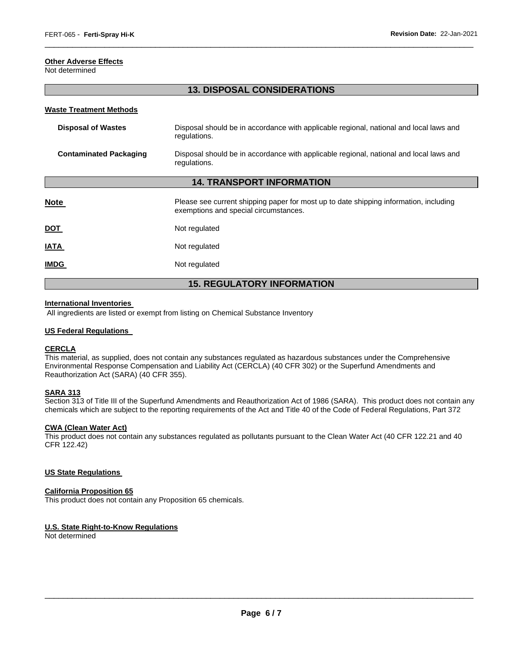# **Other Adverse Effects**

Not determined

# **13. DISPOSAL CONSIDERATIONS**

\_\_\_\_\_\_\_\_\_\_\_\_\_\_\_\_\_\_\_\_\_\_\_\_\_\_\_\_\_\_\_\_\_\_\_\_\_\_\_\_\_\_\_\_\_\_\_\_\_\_\_\_\_\_\_\_\_\_\_\_\_\_\_\_\_\_\_\_\_\_\_\_\_\_\_\_\_\_\_\_\_\_\_\_\_\_\_\_\_\_\_\_\_

#### **Waste Treatment Methods**

| <b>Disposal of Wastes</b>         | Disposal should be in accordance with applicable regional, national and local laws and<br>regulations.                         |  |  |
|-----------------------------------|--------------------------------------------------------------------------------------------------------------------------------|--|--|
| <b>Contaminated Packaging</b>     | Disposal should be in accordance with applicable regional, national and local laws and<br>regulations.                         |  |  |
| <b>14. TRANSPORT INFORMATION</b>  |                                                                                                                                |  |  |
| <b>Note</b>                       | Please see current shipping paper for most up to date shipping information, including<br>exemptions and special circumstances. |  |  |
| <b>DOT</b>                        | Not regulated                                                                                                                  |  |  |
| IATA                              | Not regulated                                                                                                                  |  |  |
| <b>IMDG</b>                       | Not regulated                                                                                                                  |  |  |
| <b>15. REGULATORY INFORMATION</b> |                                                                                                                                |  |  |

#### **International Inventories**

All ingredients are listed or exempt from listing on Chemical Substance Inventory

#### **US Federal Regulations**

#### **CERCLA**

This material, as supplied, does not contain any substances regulated as hazardous substances under the Comprehensive Environmental Response Compensation and Liability Act (CERCLA) (40 CFR 302) or the Superfund Amendments and Reauthorization Act (SARA) (40 CFR 355).

### **SARA 313**

Section 313 of Title III of the Superfund Amendments and Reauthorization Act of 1986 (SARA). This product does not contain any chemicals which are subject to the reporting requirements of the Act and Title 40 of the Code of Federal Regulations, Part 372

#### **CWA (Clean Water Act)**

This product does not contain any substances regulated as pollutants pursuant to the Clean Water Act (40 CFR 122.21 and 40 CFR 122.42)

#### **US State Regulations**

#### **California Proposition 65**

This product does not contain any Proposition 65 chemicals.

#### **U.S. State Right-to-Know Regulations**

Not determined